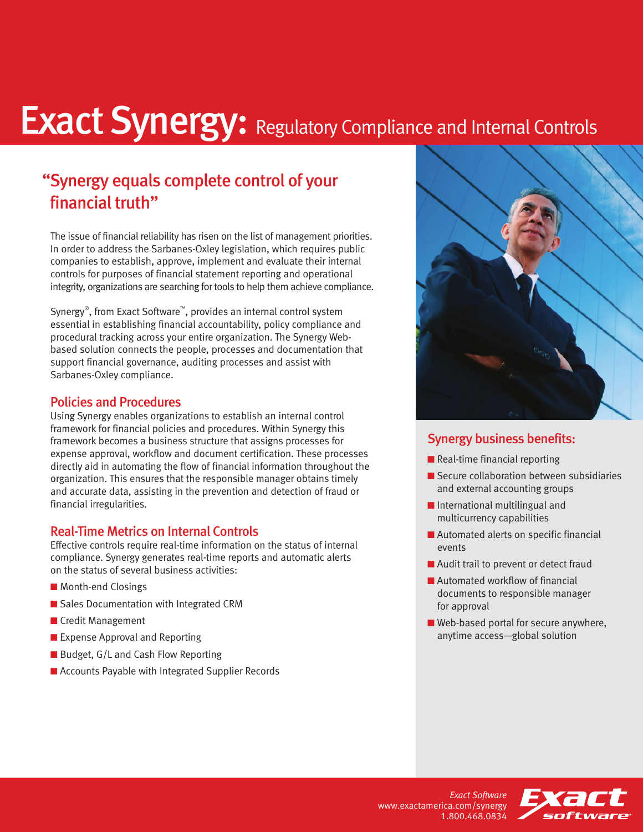# **Exact Synergy: Regulatory Compliance and Internal Controls**

### "Synergy equals complete control of your financial truth"

The issue of financial reliability has risen on the list of management priorities. In order to address the Sarbanes-Oxley legislation, which requires public companies to establish, approve, implement and evaluate their internal controls for purposes of financial statement reporting and operational integrity, organizations are searching for tools to help them achieve compliance.

Synergy® , from Exact Software™, provides an internal control system essential in establishing financial accountability, policy compliance and procedural tracking across your entire organization. The Synergy Webbased solution connects the people, processes and documentation that support financial governance, auditing processes and assist with Sarbanes-Oxley compliance.

#### Policies and Procedures

Using Synergy enables organizations to establish an internal control framework for financial policies and procedures. Within Synergy this framework becomes a business structure that assigns processes for expense approval, workflow and document certification. These processes directly aid in automating the flow of financial information throughout the organization. This ensures that the responsible manager obtains timely and accurate data, assisting in the prevention and detection of fraud or financial irregularities.

#### Real-Time Metrics on Internal Controls

Effective controls require real-time information on the status of internal compliance. Synergy generates real-time reports and automatic alerts on the status of several business activities:

- **■** Month-end Closings
- Sales Documentation with Integrated CRM
- **■** Credit Management
- Expense Approval and Reporting
- Budget, G/L and Cash Flow Reporting
- Accounts Payable with Integrated Supplier Records



#### Synergy business benefits:

- Real-time financial reporting
- Secure collaboration between subsidiaries and external accounting groups
- International multilingual and multicurrency capabilities
- Automated alerts on specific financial events
- Audit trail to prevent or detect fraud
- Automated workflow of financial documents to responsible manager for approval
- Web-based portal for secure anywhere, anytime access—global solution

*Exact Software* www.exactamerica.com/synergy 1.800.468.0834